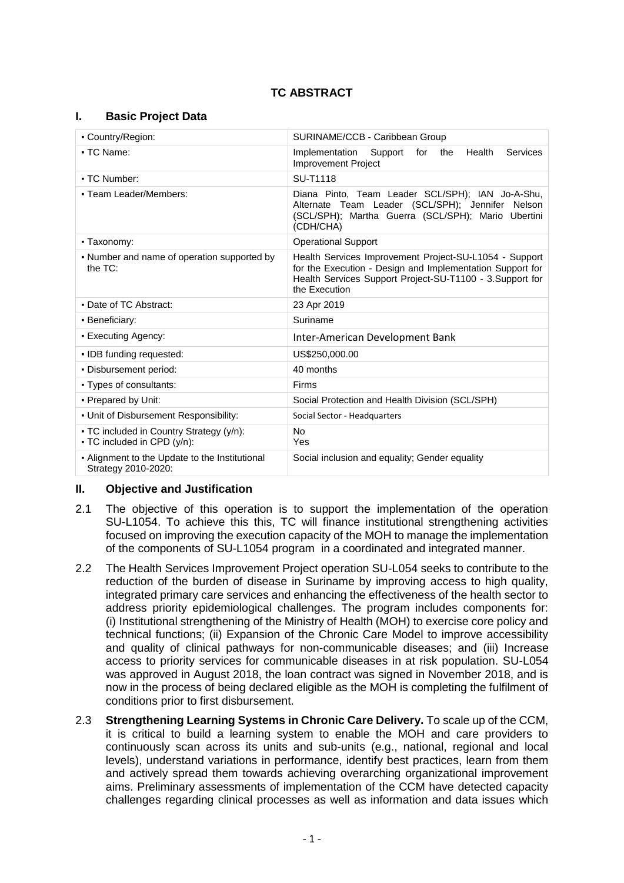# **TC ABSTRACT**

### **I. Basic Project Data**

| - Country/Region:                                                       | SURINAME/CCB - Caribbean Group                                                                                                                                                                   |  |  |
|-------------------------------------------------------------------------|--------------------------------------------------------------------------------------------------------------------------------------------------------------------------------------------------|--|--|
| • TC Name:                                                              | Implementation<br>Support<br>Health<br>for<br>the<br>Services<br><b>Improvement Project</b>                                                                                                      |  |  |
| • TC Number:                                                            | <b>SU-T1118</b>                                                                                                                                                                                  |  |  |
| - Team Leader/Members:                                                  | Diana Pinto, Team Leader SCL/SPH); IAN Jo-A-Shu,<br>Alternate Team Leader (SCL/SPH); Jennifer Nelson<br>(SCL/SPH); Martha Guerra (SCL/SPH); Mario Ubertini<br>(CDH/CHA)                          |  |  |
| - Taxonomy:                                                             | <b>Operational Support</b>                                                                                                                                                                       |  |  |
| • Number and name of operation supported by<br>the $TC$ :               | Health Services Improvement Project-SU-L1054 - Support<br>for the Execution - Design and Implementation Support for<br>Health Services Support Project-SU-T1100 - 3.Support for<br>the Execution |  |  |
| • Date of TC Abstract:                                                  | 23 Apr 2019                                                                                                                                                                                      |  |  |
| • Beneficiary:                                                          | Suriname                                                                                                                                                                                         |  |  |
| • Executing Agency:                                                     | Inter-American Development Bank                                                                                                                                                                  |  |  |
| • IDB funding requested:                                                | US\$250,000.00                                                                                                                                                                                   |  |  |
| . Disbursement period:                                                  | 40 months                                                                                                                                                                                        |  |  |
| • Types of consultants:                                                 | Firms                                                                                                                                                                                            |  |  |
| • Prepared by Unit:                                                     | Social Protection and Health Division (SCL/SPH)                                                                                                                                                  |  |  |
| . Unit of Disbursement Responsibility:                                  | Social Sector - Headquarters                                                                                                                                                                     |  |  |
| • TC included in Country Strategy (y/n):<br>• TC included in CPD (y/n): | No.<br>Yes                                                                                                                                                                                       |  |  |
| - Alignment to the Update to the Institutional<br>Strategy 2010-2020:   | Social inclusion and equality; Gender equality                                                                                                                                                   |  |  |

### **II. Objective and Justification**

- 2.1 The objective of this operation is to support the implementation of the operation SU-L1054. To achieve this this, TC will finance institutional strengthening activities focused on improving the execution capacity of the MOH to manage the implementation of the components of SU-L1054 program in a coordinated and integrated manner.
- 2.2 The Health Services Improvement Project operation SU-L054 seeks to contribute to the reduction of the burden of disease in Suriname by improving access to high quality, integrated primary care services and enhancing the effectiveness of the health sector to address priority epidemiological challenges. The program includes components for: (i) Institutional strengthening of the Ministry of Health (MOH) to exercise core policy and technical functions; (ii) Expansion of the Chronic Care Model to improve accessibility and quality of clinical pathways for non-communicable diseases; and (iii) Increase access to priority services for communicable diseases in at risk population. SU-L054 was approved in August 2018, the loan contract was signed in November 2018, and is now in the process of being declared eligible as the MOH is completing the fulfilment of conditions prior to first disbursement.
- 2.3 **Strengthening Learning Systems in Chronic Care Delivery.** To scale up of the CCM, it is critical to build a learning system to enable the MOH and care providers to continuously scan across its units and sub-units (e.g., national, regional and local levels), understand variations in performance, identify best practices, learn from them and actively spread them towards achieving overarching organizational improvement aims. Preliminary assessments of implementation of the CCM have detected capacity challenges regarding clinical processes as well as information and data issues which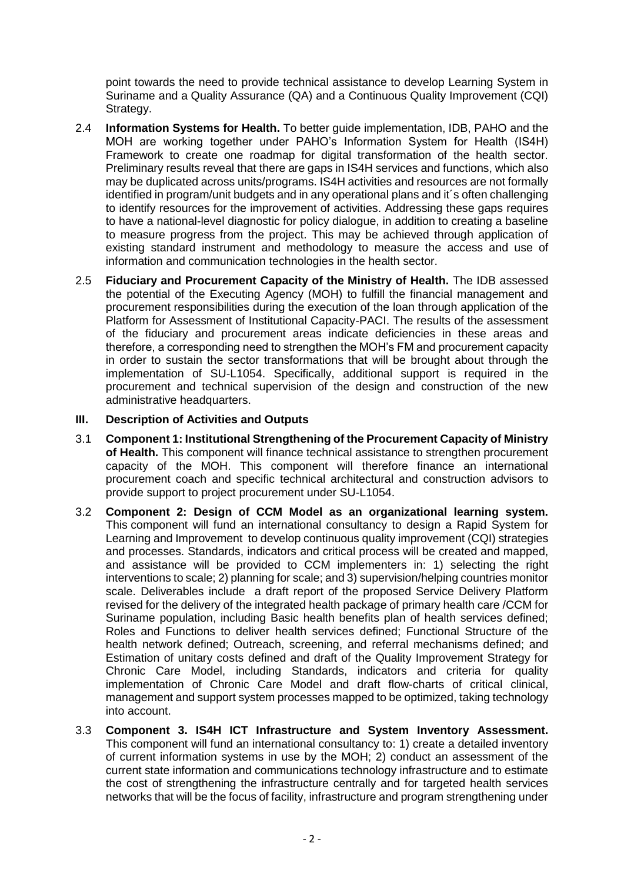point towards the need to provide technical assistance to develop Learning System in Suriname and a Quality Assurance (QA) and a Continuous Quality Improvement (CQI) Strategy.

- 2.4 **Information Systems for Health.** To better guide implementation, IDB, PAHO and the MOH are working together under PAHO's Information System for Health (IS4H) Framework to create one roadmap for digital transformation of the health sector. Preliminary results reveal that there are gaps in IS4H services and functions, which also may be duplicated across units/programs. IS4H activities and resources are not formally identified in program/unit budgets and in any operational plans and it´s often challenging to identify resources for the improvement of activities. Addressing these gaps requires to have a national-level diagnostic for policy dialogue, in addition to creating a baseline to measure progress from the project. This may be achieved through application of existing standard instrument and methodology to measure the access and use of information and communication technologies in the health sector.
- 2.5 **Fiduciary and Procurement Capacity of the Ministry of Health.** The IDB assessed the potential of the Executing Agency (MOH) to fulfill the financial management and procurement responsibilities during the execution of the loan through application of the Platform for Assessment of Institutional Capacity-PACI. The results of the assessment of the fiduciary and procurement areas indicate deficiencies in these areas and therefore, a corresponding need to strengthen the MOH's FM and procurement capacity in order to sustain the sector transformations that will be brought about through the implementation of SU-L1054. Specifically, additional support is required in the procurement and technical supervision of the design and construction of the new administrative headquarters.

## **III. Description of Activities and Outputs**

- 3.1 **Component 1: Institutional Strengthening of the Procurement Capacity of Ministry of Health.** This component will finance technical assistance to strengthen procurement capacity of the MOH. This component will therefore finance an international procurement coach and specific technical architectural and construction advisors to provide support to project procurement under SU-L1054.
- 3.2 **Component 2: Design of CCM Model as an organizational learning system.**  This component will fund an international consultancy to design a Rapid System for Learning and Improvement to develop continuous quality improvement (CQI) strategies and processes. Standards, indicators and critical process will be created and mapped, and assistance will be provided to CCM implementers in: 1) selecting the right interventions to scale; 2) planning for scale; and 3) supervision/helping countries monitor scale. Deliverables include a draft report of the proposed Service Delivery Platform revised for the delivery of the integrated health package of primary health care /CCM for Suriname population, including Basic health benefits plan of health services defined; Roles and Functions to deliver health services defined; Functional Structure of the health network defined; Outreach, screening, and referral mechanisms defined; and Estimation of unitary costs defined and draft of the Quality Improvement Strategy for Chronic Care Model, including Standards, indicators and criteria for quality implementation of Chronic Care Model and draft flow-charts of critical clinical, management and support system processes mapped to be optimized, taking technology into account.
- 3.3 **Component 3. IS4H ICT Infrastructure and System Inventory Assessment.** This component will fund an international consultancy to: 1) create a detailed inventory of current information systems in use by the MOH; 2) conduct an assessment of the current state information and communications technology infrastructure and to estimate the cost of strengthening the infrastructure centrally and for targeted health services networks that will be the focus of facility, infrastructure and program strengthening under